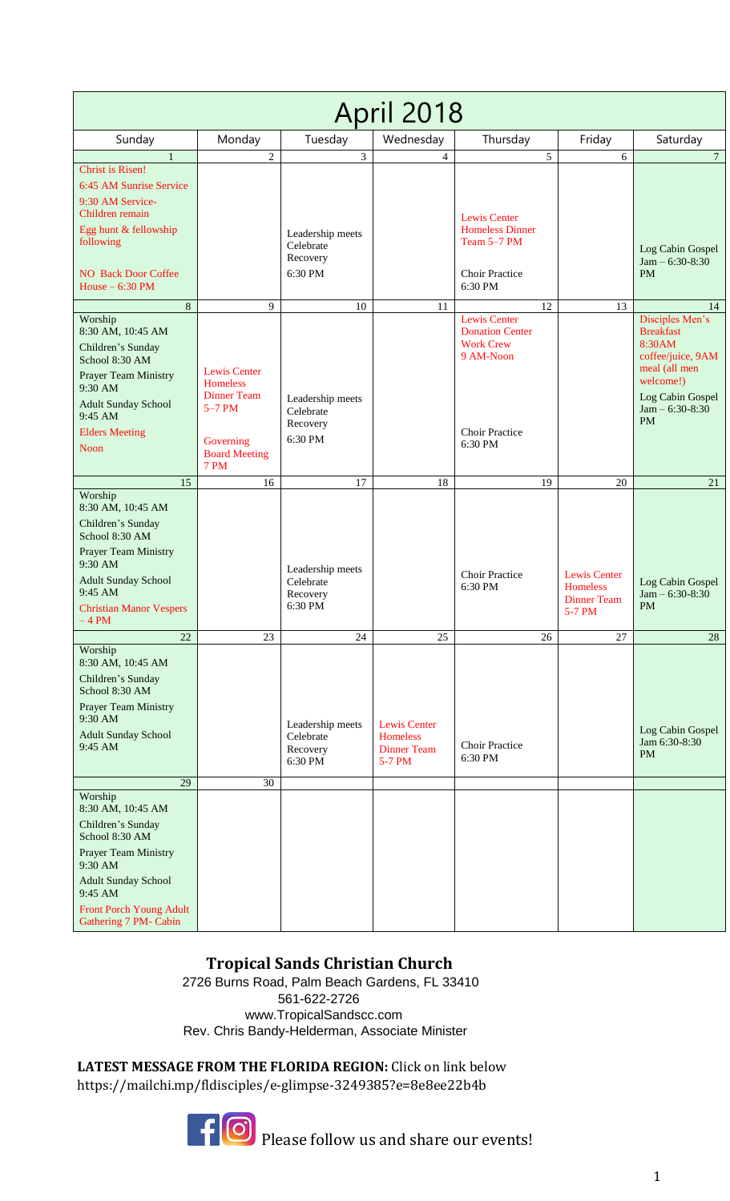| <b>April 2018</b>                                                      |                                     |                                           |                                          |                                                       |                                       |                                                    |
|------------------------------------------------------------------------|-------------------------------------|-------------------------------------------|------------------------------------------|-------------------------------------------------------|---------------------------------------|----------------------------------------------------|
| Sunday                                                                 | Monday                              | Tuesday                                   | Wednesday                                | Thursday                                              | Friday                                | Saturday                                           |
| $\mathbf{1}$                                                           | $\sqrt{2}$                          | $\overline{3}$                            | 4                                        | 5                                                     | 6                                     | $7\overline{ }$                                    |
| <b>Christ</b> is Risen!<br>6:45 AM Sunrise Service<br>9:30 AM Service- |                                     |                                           |                                          |                                                       |                                       |                                                    |
| Children remain<br>Egg hunt & fellowship<br>following                  |                                     | Leadership meets<br>Celebrate<br>Recovery |                                          | Lewis Center<br><b>Homeless Dinner</b><br>Team 5-7 PM |                                       | Log Cabin Gospel<br>Jam $- 6:30-8:30$              |
| <b>NO Back Door Coffee</b><br>House $-6:30$ PM                         |                                     | 6:30 PM                                   |                                          | <b>Choir Practice</b><br>6:30 PM                      |                                       | <b>PM</b>                                          |
| 8<br>Worship                                                           | 9                                   | 10                                        | 11                                       | 12<br>Lewis Center                                    | 13                                    | 14<br>Disciples Men's                              |
| 8:30 AM, 10:45 AM                                                      |                                     |                                           |                                          | <b>Donation Center</b>                                |                                       | <b>Breakfast</b>                                   |
| Children's Sunday<br>School 8:30 AM                                    | <b>Lewis Center</b>                 |                                           |                                          | <b>Work Crew</b><br>9 AM-Noon                         |                                       | 8:30AM<br>coffee/juice, 9AM<br>meal (all men       |
| Prayer Team Ministry<br>9:30 AM                                        | <b>Homeless</b>                     |                                           |                                          |                                                       |                                       | welcome!)                                          |
| <b>Adult Sunday School</b><br>9:45 AM                                  | <b>Dinner Team</b><br>$5-7$ PM      | Leadership meets<br>Celebrate<br>Recovery |                                          |                                                       |                                       | Log Cabin Gospel<br>$Jam - 6:30-8:30$<br><b>PM</b> |
| <b>Elders Meeting</b>                                                  | Governing                           | 6:30 PM                                   |                                          | <b>Choir Practice</b>                                 |                                       |                                                    |
| <b>Noon</b>                                                            | <b>Board Meeting</b><br><b>7 PM</b> |                                           |                                          | 6:30 PM                                               |                                       |                                                    |
| 15                                                                     | 16                                  | 17                                        | 18                                       | 19                                                    | 20                                    | 21                                                 |
| Worship<br>8:30 AM, 10:45 AM                                           |                                     |                                           |                                          |                                                       |                                       |                                                    |
| Children's Sunday<br>School 8:30 AM                                    |                                     |                                           |                                          |                                                       |                                       |                                                    |
| <b>Prayer Team Ministry</b><br>9:30 AM                                 |                                     | Leadership meets                          |                                          | <b>Choir Practice</b>                                 | <b>Lewis Center</b>                   |                                                    |
| <b>Adult Sunday School</b><br>9:45 AM                                  |                                     | Celebrate<br>Recovery                     |                                          | 6:30 PM                                               | <b>Homeless</b><br><b>Dinner Team</b> | Log Cabin Gospel<br>$Jam - 6:30-8:30$              |
| <b>Christian Manor Vespers</b><br>$-4$ PM                              |                                     | 6:30 PM                                   |                                          |                                                       | 5-7 PM                                | <b>PM</b>                                          |
| 22<br>Worship                                                          | 23                                  | 24                                        | 25                                       | 26                                                    | 27                                    | $28\,$                                             |
| 8:30 AM, 10:45 AM                                                      |                                     |                                           |                                          |                                                       |                                       |                                                    |
| Children's Sunday<br>School 8:30 AM                                    |                                     |                                           |                                          |                                                       |                                       |                                                    |
| Prayer Team Ministry<br>9:30 AM                                        |                                     | Leadership meets                          | <b>Lewis Center</b>                      |                                                       |                                       |                                                    |
| <b>Adult Sunday School</b><br>9:45 AM                                  |                                     | Celebrate<br>Recovery<br>6:30 PM          | Homeless<br><b>Dinner Team</b><br>5-7 PM | <b>Choir Practice</b><br>6:30 PM                      |                                       | Log Cabin Gospel<br>Jam 6:30-8:30<br><b>PM</b>     |
| 29                                                                     | 30                                  |                                           |                                          |                                                       |                                       |                                                    |
| Worship<br>8:30 AM, 10:45 AM                                           |                                     |                                           |                                          |                                                       |                                       |                                                    |
| Children's Sunday<br>School 8:30 AM                                    |                                     |                                           |                                          |                                                       |                                       |                                                    |
| <b>Prayer Team Ministry</b><br>9:30 AM                                 |                                     |                                           |                                          |                                                       |                                       |                                                    |
| <b>Adult Sunday School</b><br>9:45 AM                                  |                                     |                                           |                                          |                                                       |                                       |                                                    |
| Front Porch Young Adult<br>Gathering 7 PM- Cabin                       |                                     |                                           |                                          |                                                       |                                       |                                                    |

## **Tropical Sands Christian Church**

 2726 Burns Road, Palm Beach Gardens, FL 33410 561-622-2726 www.TropicalSandscc.com Rev. Chris Bandy-Helderman, Associate Minister

**LATEST MESSAGE FROM THE FLORIDA REGION:** Click on link below https://mailchi.mp/fldisciples/e-glimpse-3249385?e=8e8ee22b4b



Please follow us and share our events!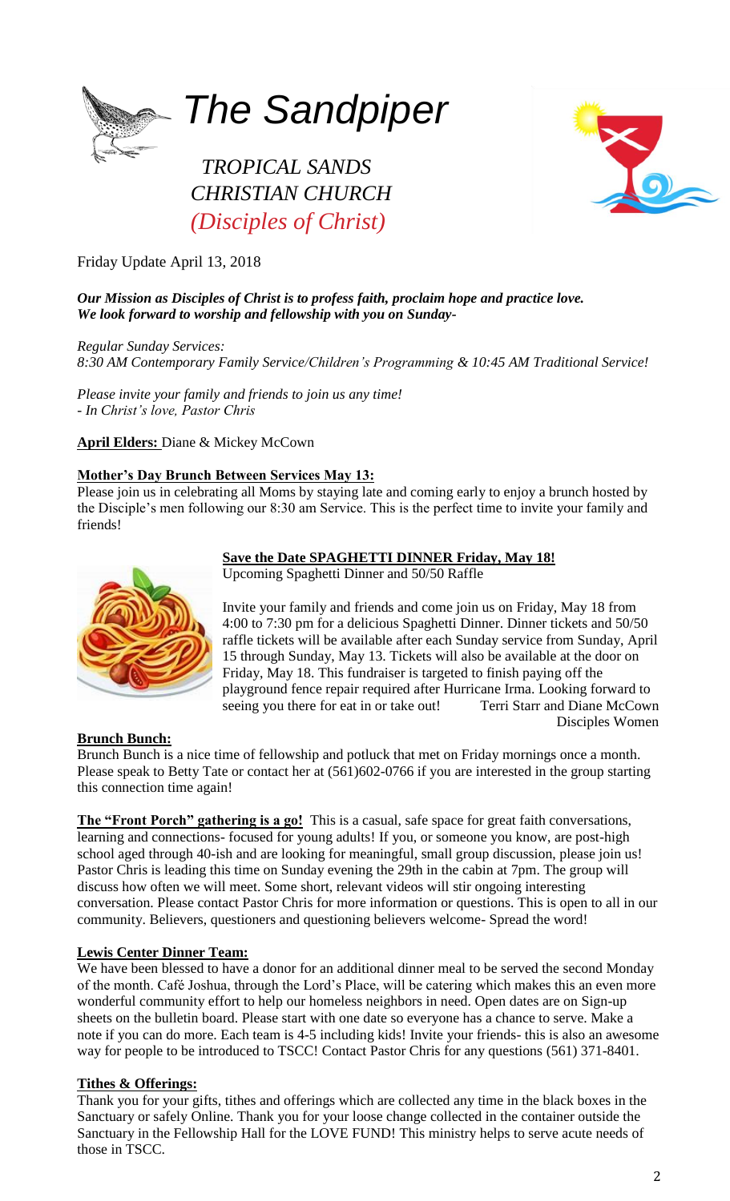

*The Sandpiper* 

## *TROPICAL SANDS CHRISTIAN CHURCH (Disciples of Christ)*



## Friday Update April 13, 2018

### *Our Mission as Disciples of Christ is to profess faith, proclaim hope and practice love. We look forward to worship and fellowship with you on Sunday-*

*Regular Sunday Services: 8:30 AM Contemporary Family Service/Children's Programming & 10:45 AM Traditional Service!*

*Please invite your family and friends to join us any time! - In Christ's love, Pastor Chris*

**April Elders:** Diane & Mickey McCown

## **Mother's Day Brunch Between Services May 13:**

Please join us in celebrating all Moms by staying late and coming early to enjoy a brunch hosted by the Disciple's men following our 8:30 am Service. This is the perfect time to invite your family and friends!



## **Save the Date SPAGHETTI DINNER Friday, May 18!**

Upcoming Spaghetti Dinner and 50/50 Raffle

Invite your family and friends and come join us on Friday, May 18 from 4:00 to 7:30 pm for a delicious Spaghetti Dinner. Dinner tickets and 50/50 raffle tickets will be available after each Sunday service from Sunday, April 15 through Sunday, May 13. Tickets will also be available at the door on Friday, May 18. This fundraiser is targeted to finish paying off the playground fence repair required after Hurricane Irma. Looking forward to seeing you there for eat in or take out! Terri Starr and Diane McCown Disciples Women

#### **Brunch Bunch:**

Brunch Bunch is a nice time of fellowship and potluck that met on Friday mornings once a month. Please speak to Betty Tate or contact her at (561)602-0766 if you are interested in the group starting this connection time again!

**The "Front Porch" gathering is a go!** This is a casual, safe space for great faith conversations, learning and connections- focused for young adults! If you, or someone you know, are post-high school aged through 40-ish and are looking for meaningful, small group discussion, please join us! Pastor Chris is leading this time on Sunday evening the 29th in the cabin at 7pm. The group will discuss how often we will meet. Some short, relevant videos will stir ongoing interesting conversation. Please contact Pastor Chris for more information or questions. This is open to all in our community. Believers, questioners and questioning believers welcome- Spread the word!

#### **Lewis Center Dinner Team:**

We have been blessed to have a donor for an additional dinner meal to be served the second Monday of the month. Café Joshua, through the Lord's Place, will be catering which makes this an even more wonderful community effort to help our homeless neighbors in need. Open dates are on Sign-up sheets on the bulletin board. Please start with one date so everyone has a chance to serve. Make a note if you can do more. Each team is 4-5 including kids! Invite your friends- this is also an awesome way for people to be introduced to TSCC! Contact Pastor Chris for any questions (561) 371-8401.

## **Tithes & Offerings:**

Thank you for your gifts, tithes and offerings which are collected any time in the black boxes in the Sanctuary or safely Online. Thank you for your loose change collected in the container outside the Sanctuary in the Fellowship Hall for the LOVE FUND! This ministry helps to serve acute needs of those in TSCC.